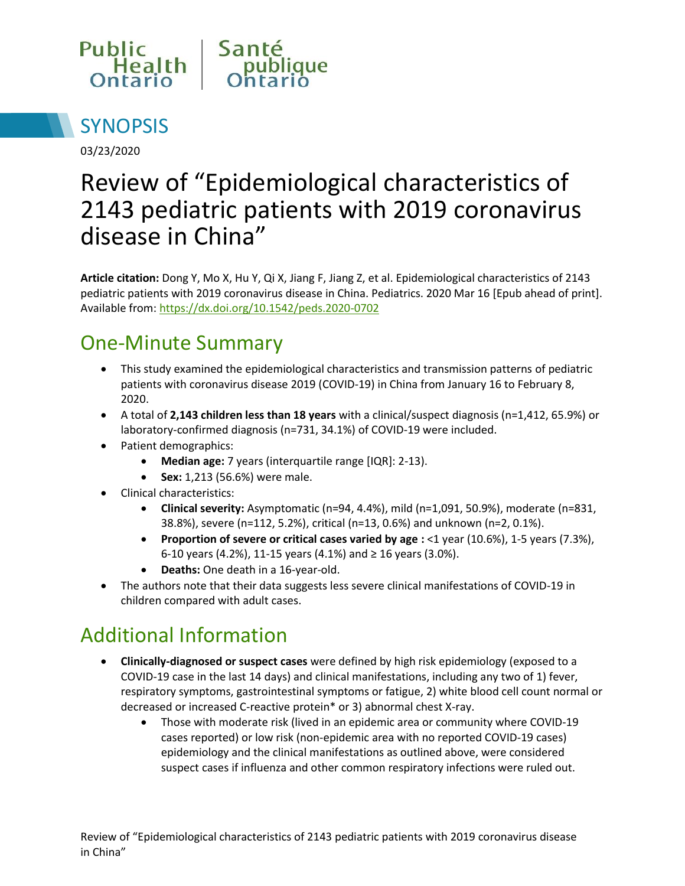



03/23/2020

# Review of "Epidemiological characteristics of 2143 pediatric patients with 2019 coronavirus disease in China"

**Article citation:** Dong Y, Mo X, Hu Y, Qi X, Jiang F, Jiang Z, et al. Epidemiological characteristics of 2143 pediatric patients with 2019 coronavirus disease in China. Pediatrics. 2020 Mar 16 [Epub ahead of print]. Available from[: https://dx.doi.org/10.1542/peds.2020-0702](https://dx.doi.org/10.1542/peds.2020-0702)

### One-Minute Summary

- This study examined the epidemiological characteristics and transmission patterns of pediatric patients with coronavirus disease 2019 (COVID-19) in China from January 16 to February 8, 2020.
- A total of **2,143 children less than 18 years** with a clinical/suspect diagnosis (n=1,412, 65.9%) or laboratory-confirmed diagnosis (n=731, 34.1%) of COVID-19 were included.
- Patient demographics:
	- **Median age:** 7 years (interquartile range [IQR]: 2-13).
	- **Sex:** 1,213 (56.6%) were male.
- Clinical characteristics:
	- **Clinical severity:** Asymptomatic (n=94, 4.4%), mild (n=1,091, 50.9%), moderate (n=831, 38.8%), severe (n=112, 5.2%), critical (n=13, 0.6%) and unknown (n=2, 0.1%).
	- **Proportion of severe or critical cases varied by age :** <1 year (10.6%), 1-5 years (7.3%), 6-10 years (4.2%), 11-15 years (4.1%) and ≥ 16 years (3.0%).
	- **Deaths:** One death in a 16-year-old.
- The authors note that their data suggests less severe clinical manifestations of COVID-19 in children compared with adult cases.

## Additional Information

- **Clinically-diagnosed or suspect cases** were defined by high risk epidemiology (exposed to a COVID-19 case in the last 14 days) and clinical manifestations, including any two of 1) fever, respiratory symptoms, gastrointestinal symptoms or fatigue, 2) white blood cell count normal or decreased or increased C-reactive protein\* or 3) abnormal chest X-ray.
	- Those with moderate risk (lived in an epidemic area or community where COVID-19 cases reported) or low risk (non-epidemic area with no reported COVID-19 cases) epidemiology and the clinical manifestations as outlined above, were considered suspect cases if influenza and other common respiratory infections were ruled out.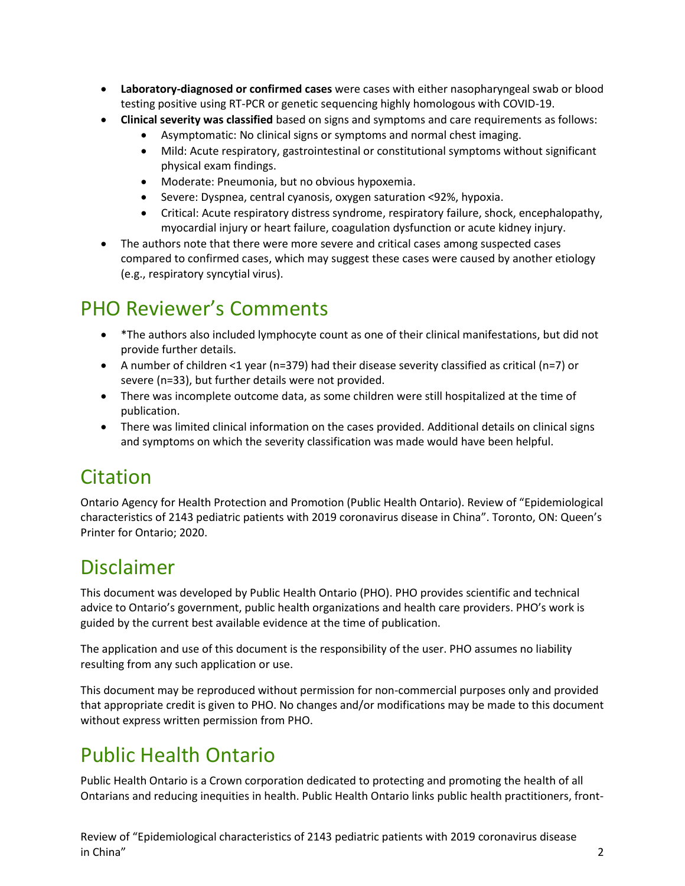- **Laboratory-diagnosed or confirmed cases** were cases with either nasopharyngeal swab or blood testing positive using RT-PCR or genetic sequencing highly homologous with COVID-19.
- **Clinical severity was classified** based on signs and symptoms and care requirements as follows:
	- Asymptomatic: No clinical signs or symptoms and normal chest imaging.
	- Mild: Acute respiratory, gastrointestinal or constitutional symptoms without significant physical exam findings.
	- Moderate: Pneumonia, but no obvious hypoxemia.
	- Severe: Dyspnea, central cyanosis, oxygen saturation <92%, hypoxia.
	- Critical: Acute respiratory distress syndrome, respiratory failure, shock, encephalopathy, myocardial injury or heart failure, coagulation dysfunction or acute kidney injury.
- The authors note that there were more severe and critical cases among suspected cases compared to confirmed cases, which may suggest these cases were caused by another etiology (e.g., respiratory syncytial virus).

## PHO Reviewer's Comments

- \*The authors also included lymphocyte count as one of their clinical manifestations, but did not provide further details.
- A number of children <1 year (n=379) had their disease severity classified as critical (n=7) or severe (n=33), but further details were not provided.
- There was incomplete outcome data, as some children were still hospitalized at the time of publication.
- There was limited clinical information on the cases provided. Additional details on clinical signs and symptoms on which the severity classification was made would have been helpful.

# Citation

Ontario Agency for Health Protection and Promotion (Public Health Ontario). Review of "Epidemiological characteristics of 2143 pediatric patients with 2019 coronavirus disease in China". Toronto, ON: Queen's Printer for Ontario; 2020.

### Disclaimer

This document was developed by Public Health Ontario (PHO). PHO provides scientific and technical advice to Ontario's government, public health organizations and health care providers. PHO's work is guided by the current best available evidence at the time of publication.

The application and use of this document is the responsibility of the user. PHO assumes no liability resulting from any such application or use.

This document may be reproduced without permission for non-commercial purposes only and provided that appropriate credit is given to PHO. No changes and/or modifications may be made to this document without express written permission from PHO.

## Public Health Ontario

Public Health Ontario is a Crown corporation dedicated to protecting and promoting the health of all Ontarians and reducing inequities in health. Public Health Ontario links public health practitioners, front